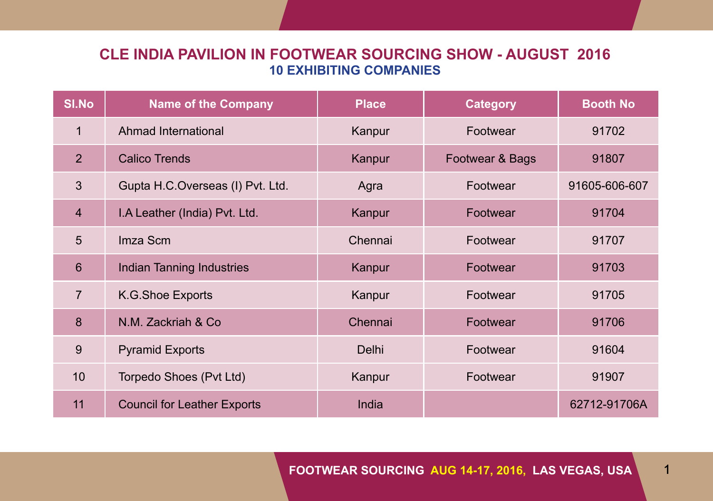# **Cle India Pavilion in footwear sourcing show - august 2016 10 Exhibiting companies**

| <b>SI.No</b>   | <b>Name of the Company</b>         | <b>Place</b> | <b>Category</b> | <b>Booth No</b> |
|----------------|------------------------------------|--------------|-----------------|-----------------|
| $\mathbf{1}$   | Ahmad International                | Kanpur       | Footwear        | 91702           |
| 2 <sup>1</sup> | <b>Calico Trends</b>               | Kanpur       | Footwear & Bags | 91807           |
| 3              | Gupta H.C.Overseas (I) Pvt. Ltd.   | Agra         | Footwear        | 91605-606-607   |
| $\overline{4}$ | I.A Leather (India) Pvt. Ltd.      | Kanpur       | Footwear        | 91704           |
| 5              | Imza Scm                           | Chennai      | Footwear        | 91707           |
| $6\phantom{1}$ | Indian Tanning Industries          | Kanpur       | Footwear        | 91703           |
| $\overline{7}$ | K.G.Shoe Exports                   | Kanpur       | Footwear        | 91705           |
| 8              | N.M. Zackriah & Co.                | Chennai      | Footwear        | 91706           |
| 9              | <b>Pyramid Exports</b>             | Delhi        | Footwear        | 91604           |
| 10             | Torpedo Shoes (Pvt Ltd)            | Kanpur       | Footwear        | 91907           |
| 11             | <b>Council for Leather Exports</b> | India        |                 | 62712-91706A    |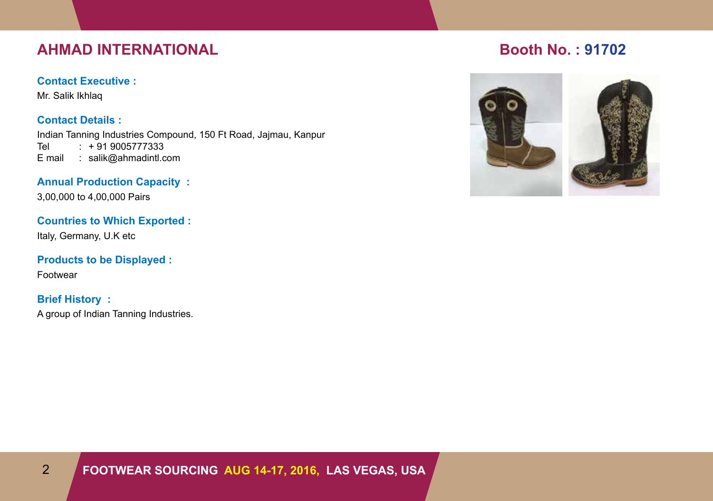# **AHMAD INTERNATIONAL BOOTH RESERVE BOOTH NO. : 91702**

### **Contact Executive :**

Mr. Salik Ikhlaq

**Contact Details :** Indian Tanning Industries Compound, 150 Ft Road, Jajmau, Kanpur  $: + 919005777333$ E mail : salik@ahmadintl.com

**Annual Production Capacity :**

3,00,000 to 4,00,000 Pairs

**Countries to Which Exported :**

Italy, Germany, U.K etc

**Products to be Displayed :**

Footwear

# **Brief History :**

A group of Indian Tanning Industries.

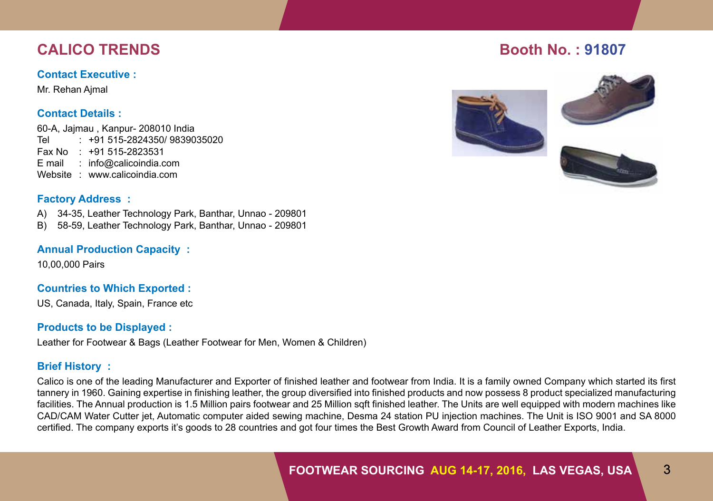## **Contact Executive :**

Mr. Rehan Ajmal

# **Contact Details :**

60-A, Jajmau , Kanpur- 208010 India Tel : +91 515-2824350/ 9839035020 Fax No : +91 515-2823531 E mail : info@calicoindia.com Website : www.calicoindia.com

# **Factory Address :**

A) 34-35, Leather Technology Park, Banthar, Unnao - 209801

B) 58-59, Leather Technology Park, Banthar, Unnao - 209801

# **Annual Production Capacity :**

10,00,000 Pairs

# **Countries to Which Exported :**

US, Canada, Italy, Spain, France etc

# **Products to be Displayed :**

Leather for Footwear & Bags (Leather Footwear for Men, Women & Children)

# **Brief History :**

Calico is one of the leading Manufacturer and Exporter of finished leather and footwear from India. It is a family owned Company which started its first tannery in 1960. Gaining expertise in finishing leather, the group diversified into finished products and now possess 8 product specialized manufacturing facilities. The Annual production is 1.5 Million pairs footwear and 25 Million sqft finished leather. The Units are well equipped with modern machines like CAD/CAM Water Cutter jet, Automatic computer aided sewing machine, Desma 24 station PU injection machines. The Unit is ISO 9001 and SA 8000 certified. The company exports it's goods to 28 countries and got four times the Best Growth Award from Council of Leather Exports, India.

# **Calico Trends Booth No. : 91807**

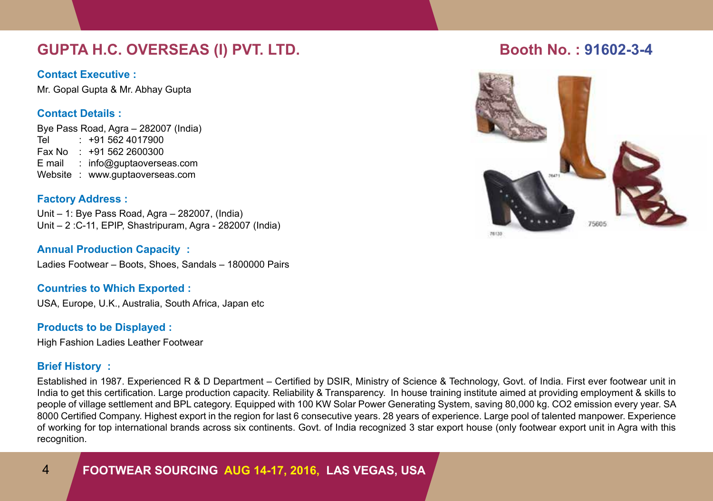# **GUPTA H.C. OVERSEAS (I) PVT. LTD. Booth No. : 91602-3-4**

# **Contact Executive :**

Mr. Gopal Gupta & Mr. Abhay Gupta

# **Contact Details :**

Bye Pass Road, Agra – 282007 (India) Tel : +91 562 4017900 Fax No : +91 562 2600300 E mail : info@guptaoverseas.com Website : www.guptaoverseas.com

## **Factory Address :**

Unit – 1: Bye Pass Road, Agra – 282007, (India) Unit – 2 :C-11, EPIP, Shastripuram, Agra - 282007 (India)

## **Annual Production Capacity :**

Ladies Footwear – Boots, Shoes, Sandals – 1800000 Pairs

# **Countries to Which Exported :**

USA, Europe, U.K., Australia, South Africa, Japan etc

# **Products to be Displayed :**

High Fashion Ladies Leather Footwear

# **Brief History :**

Established in 1987. Experienced R & D Department – Certified by DSIR, Ministry of Science & Technology, Govt. of India. First ever footwear unit in India to get this certification. Large production capacity. Reliability & Transparency. In house training institute aimed at providing employment & skills to people of village settlement and BPL category. Equipped with 100 KW Solar Power Generating System, saving 80,000 kg. CO2 emission every year. SA 8000 Certified Company. Highest export in the region for last 6 consecutive years. 28 years of experience. Large pool of talented manpower. Experience of working for top international brands across six continents. Govt. of India recognized 3 star export house (only footwear export unit in Agra with this recognition.

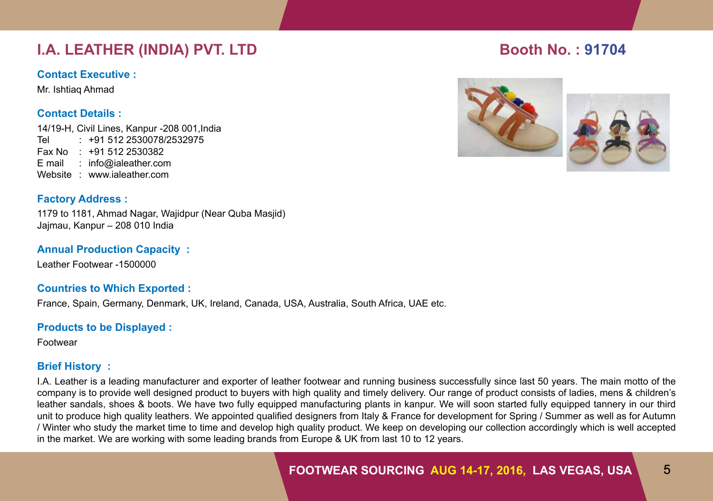# **I.A. LEATHER (INDIA) PVT. LTD Booth No. : 91704**

## **Contact Executive :**

Mr. Ishtiaq Ahmad

# **Contact Details :**

14/19-H, Civil Lines, Kanpur -208 001,India Tel : +91 512 2530078/2532975 Fax No : +91 512 2530382 E mail : info@ialeather.com Website : www.ialeather.com

# **Factory Address :**

1179 to 1181, Ahmad Nagar, Wajidpur (Near Quba Masjid) Jajmau, Kanpur – 208 010 India

# **Annual Production Capacity :**

Leather Footwear -1500000

# **Countries to Which Exported :**

France, Spain, Germany, Denmark, UK, Ireland, Canada, USA, Australia, South Africa, UAE etc.

# **Products to be Displayed :**

Footwear

# **Brief History :**

I.A. Leather is a leading manufacturer and exporter of leather footwear and running business successfully since last 50 years. The main motto of the company is to provide well designed product to buyers with high quality and timely delivery. Our range of product consists of ladies, mens & children's leather sandals, shoes & boots. We have two fully equipped manufacturing plants in kanpur. We will soon started fully equipped tannery in our third unit to produce high quality leathers. We appointed qualified designers from Italy & France for development for Spring / Summer as well as for Autumn / Winter who study the market time to time and develop high quality product. We keep on developing our collection accordingly which is well accepted in the market. We are working with some leading brands from Europe & UK from last 10 to 12 years.





# **Footwear Sourcing aug 14-17, 2016, LAS VEGAS, USA** 5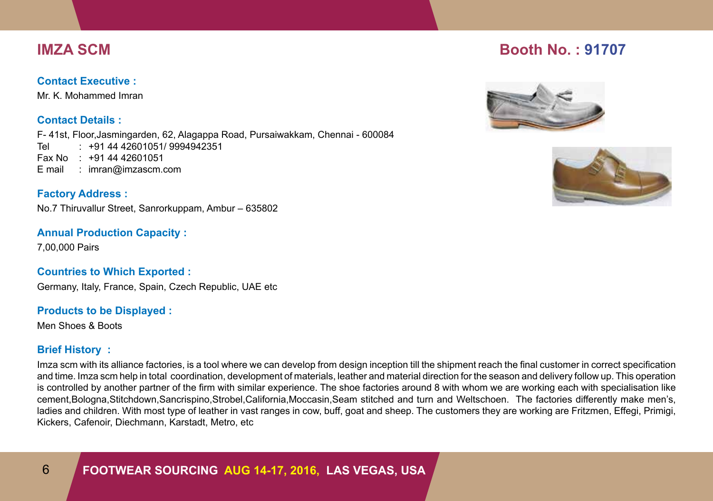## **Contact Executive :**

Mr. K. Mohammed Imran

# **Contact Details :**

F- 41st, Floor,Jasmingarden, 62, Alagappa Road, Pursaiwakkam, Chennai - 600084 Tel : +91 44 42601051/ 9994942351 Fax No : +91 44 42601051 E mail : imran@imzascm.com

# **Factory Address :**

No.7 Thiruvallur Street, Sanrorkuppam, Ambur – 635802

# **Annual Production Capacity :**

7,00,000 Pairs

# **Countries to Which Exported :**

Germany, Italy, France, Spain, Czech Republic, UAE etc

## **Products to be Displayed :**

Men Shoes & Boots

# **Brief History :**

Imza scm with its alliance factories, is a tool where we can develop from design inception till the shipment reach the final customer in correct specification and time. Imza scm help in total coordination, development of materials, leather and material direction for the season and delivery follow up. This operation is controlled by another partner of the firm with similar experience. The shoe factories around 8 with whom we are working each with specialisation like cement,Bologna,Stitchdown,Sancrispino,Strobel,California,Moccasin,Seam stitched and turn and Weltschoen. The factories differently make men's, ladies and children. With most type of leather in vast ranges in cow, buff, goat and sheep. The customers they are working are Fritzmen, Effegi, Primigi, Kickers, Cafenoir, Diechmann, Karstadt, Metro, etc

# **Imza SCM Booth No. : 91707**



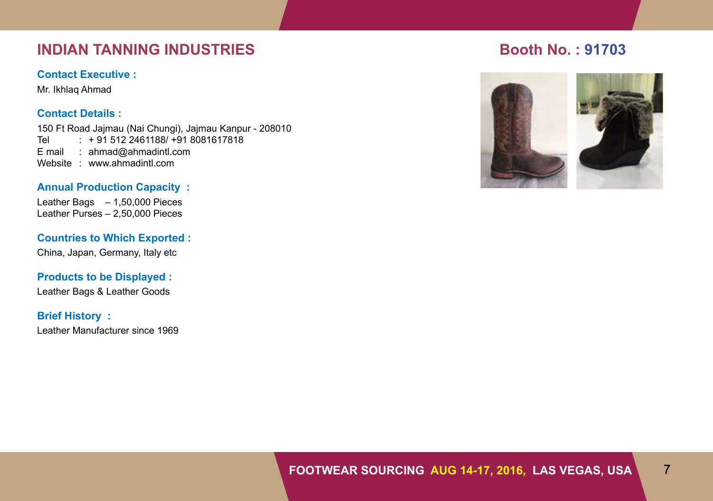# **INDIAN TANNING INDUSTRIES Booth No. : 91703**

#### **Contact Executive :**

Mr. Ikhlaq Ahmad

# **Contact Details :**

150 Ft Road Jajmau (Nai Chungi), Jajmau Kanpur - 208010  $: +915122461188/ +918081617818$ E mail : ahmad@ahmadintl.com Website : www.ahmadintl.com

## **Annual Production Capacity :**

Leather Bags – 1,50,000 Pieces Leather Purses – 2,50,000 Pieces

# **Countries to Which Exported :**

China, Japan, Germany, Italy etc

# **Products to be Displayed :**

Leather Bags & Leather Goods

#### **Brief History :**

Leather Manufacturer since 1969

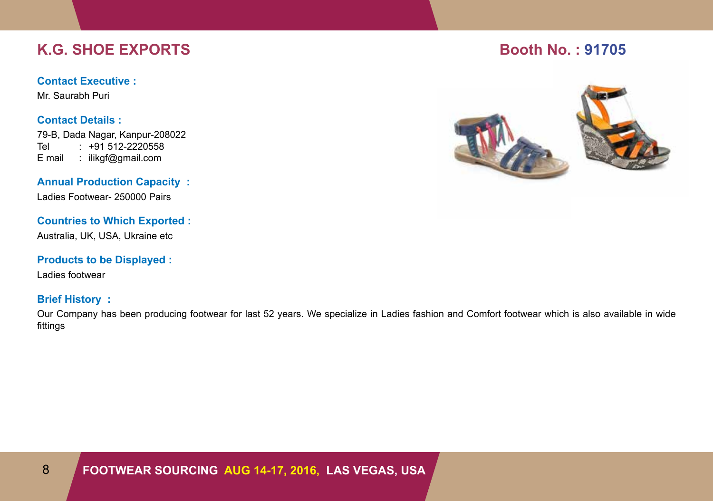# **K.G. SHOE EXPORTS Booth No. : 91705**

### **Contact Executive :**

Mr. Saurabh Puri

## **Contact Details :**

79-B, Dada Nagar, Kanpur-208022<br>Tel : +91 512-2220558  $: +91512 - 2220558$ E mail : ilikgf@gmail.com

**Annual Production Capacity :** Ladies Footwear- 250000 Pairs

# **Countries to Which Exported :**

Australia, UK, USA, Ukraine etc

## **Products to be Displayed :**

Ladies footwear

# **Brief History :**

Our Company has been producing footwear for last 52 years. We specialize in Ladies fashion and Comfort footwear which is also available in wide fittings

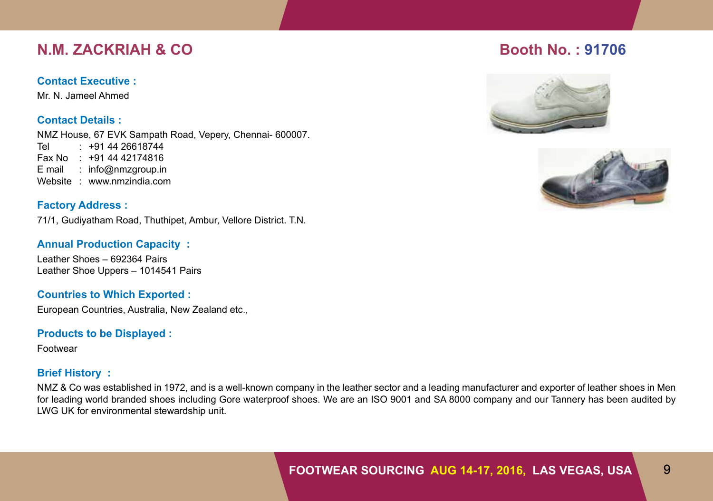# **N.M. ZACKRIAH & CO Booth No. : 91706**

### **Contact Executive :**

Mr. N. Jameel Ahmed

**Contact Details :**

NMZ House, 67 EVK Sampath Road, Vepery, Chennai- 600007. Tel : +91 44 26618744 Fax No : +91 44 42174816 E mail : info@nmzgroup.in Website : www.nmzindia.com

# **Factory Address :**

71/1, Gudiyatham Road, Thuthipet, Ambur, Vellore District. T.N.

# **Annual Production Capacity :**

Leather Shoes – 692364 Pairs Leather Shoe Uppers – 1014541 Pairs

# **Countries to Which Exported :**

European Countries, Australia, New Zealand etc.,

## **Products to be Displayed :**

Footwear

# **Brief History :**

NMZ & Co was established in 1972, and is a well-known company in the leather sector and a leading manufacturer and exporter of leather shoes in Men for leading world branded shoes including Gore waterproof shoes. We are an ISO 9001 and SA 8000 company and our Tannery has been audited by LWG UK for environmental stewardship unit.



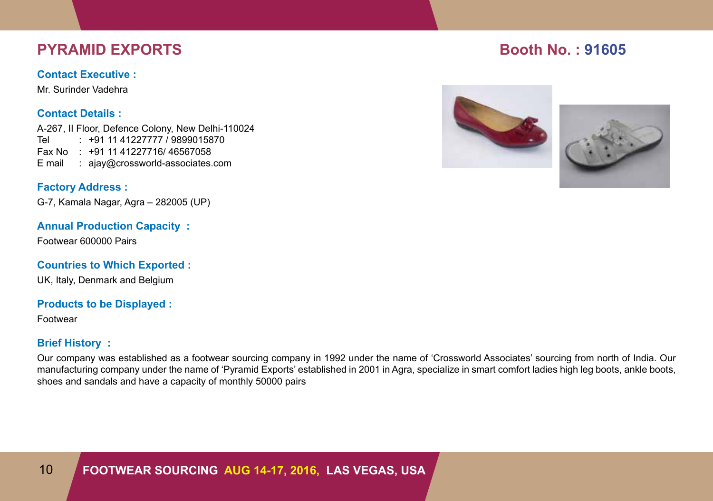# **PYRAMID EXPORTS BOOTH INC. Booth No. : 91605**

#### **Contact Executive :**

Mr. Surinder Vadehra

# **Contact Details :**

A-267, II Floor, Defence Colony, New Delhi-110024 Tel : +91 11 41227777 / 9899015870 Fax No : +91 11 41227716/ 46567058 E mail : ajay@crossworld-associates.com

# **Factory Address :**

G-7, Kamala Nagar, Agra – 282005 (UP)

## **Annual Production Capacity :**

Footwear 600000 Pairs

# **Countries to Which Exported :**

UK, Italy, Denmark and Belgium

#### **Products to be Displayed :**

Footwear

# **Brief History :**

Our company was established as a footwear sourcing company in 1992 under the name of 'Crossworld Associates' sourcing from north of India. Our manufacturing company under the name of 'Pyramid Exports' established in 2001 in Agra, specialize in smart comfort ladies high leg boots, ankle boots, shoes and sandals and have a capacity of monthly 50000 pairs



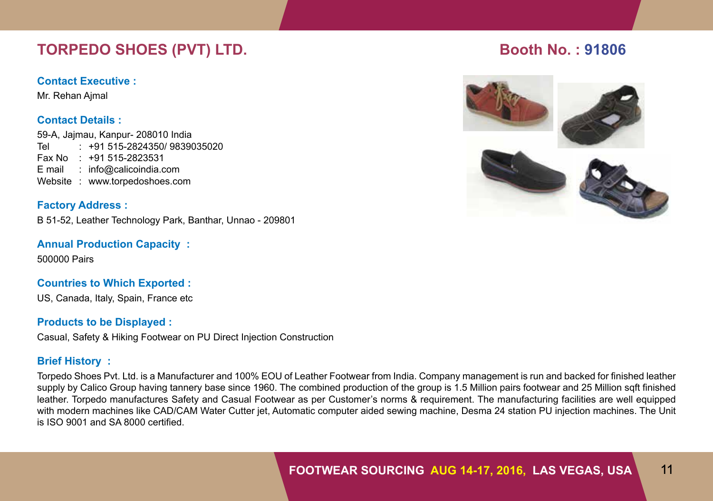# **TORPEDO SHOES (PVT) LTD.** Booth No. : 91806

#### **Contact Executive :**

Mr. Rehan Ajmal

## **Contact Details :**

59-A, Jajmau, Kanpur- 208010 India Tel : +91 515-2824350/ 9839035020 Fax No : +91 515-2823531 E mail : info@calicoindia.com Website : www.torpedoshoes.com

**Factory Address :** B 51-52, Leather Technology Park, Banthar, Unnao - 209801

**Annual Production Capacity :** 500000 Pairs

# **Countries to Which Exported :**

US, Canada, Italy, Spain, France etc

## **Products to be Displayed :**

Casual, Safety & Hiking Footwear on PU Direct Injection Construction

# **Brief History :**

Torpedo Shoes Pvt. Ltd. is a Manufacturer and 100% EOU of Leather Footwear from India. Company management is run and backed for finished leather supply by Calico Group having tannery base since 1960. The combined production of the group is 1.5 Million pairs footwear and 25 Million sqft finished leather. Torpedo manufactures Safety and Casual Footwear as per Customer's norms & requirement. The manufacturing facilities are well equipped with modern machines like CAD/CAM Water Cutter jet, Automatic computer aided sewing machine, Desma 24 station PU injection machines. The Unit is ISO 9001 and SA 8000 certified.

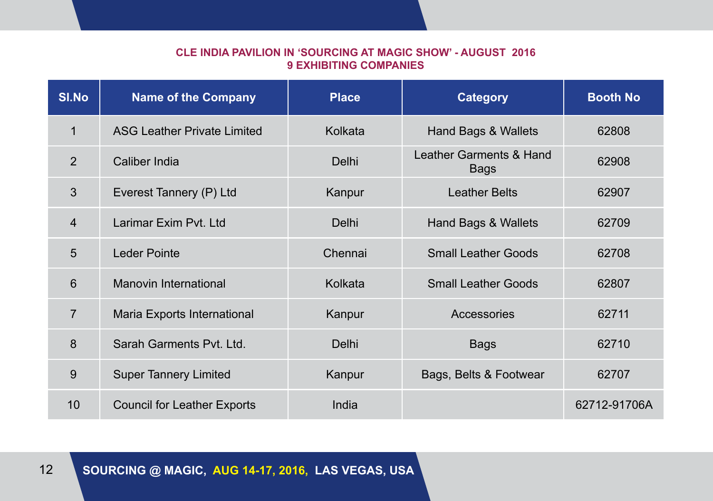# **Cle India Pavilion in 'sourcing at Magic show' - august 2016 9 Exhibiting companies**

| <b>SI.No</b>   | <b>Name of the Company</b>         | <b>Place</b> | <b>Category</b>                        | <b>Booth No</b> |
|----------------|------------------------------------|--------------|----------------------------------------|-----------------|
| $\mathbf{1}$   | <b>ASG Leather Private Limited</b> | Kolkata      | Hand Bags & Wallets                    | 62808           |
| 2              | Caliber India                      | <b>Delhi</b> | Leather Garments & Hand<br><b>Bags</b> | 62908           |
| 3              | Everest Tannery (P) Ltd            | Kanpur       | <b>Leather Belts</b>                   | 62907           |
| $\overline{4}$ | Larimar Exim Pyt. Ltd              | <b>Delhi</b> | Hand Bags & Wallets                    | 62709           |
| 5              | <b>Leder Pointe</b>                | Chennai      | <b>Small Leather Goods</b>             | 62708           |
| 6              | Manovin International              | Kolkata      | <b>Small Leather Goods</b>             | 62807           |
| $\overline{7}$ | Maria Exports International        | Kanpur       | Accessories                            | 62711           |
| 8              | Sarah Garments Pvt. Ltd.           | Delhi        | <b>Bags</b>                            | 62710           |
| 9              | <b>Super Tannery Limited</b>       | Kanpur       | Bags, Belts & Footwear                 | 62707           |
| 10             | <b>Council for Leather Exports</b> | India        |                                        | 62712-91706A    |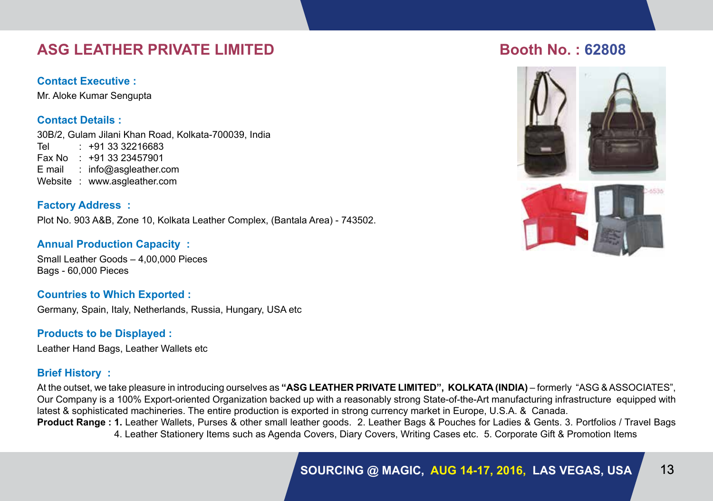# **ASG Leather Private Limited Booth No. : 62808**

# **Contact Executive :**

Mr. Aloke Kumar Sengupta

# **Contact Details :**

30B/2, Gulam Jilani Khan Road, Kolkata-700039, India Tel : +91 33 32216683 Fax No : +91 33 23457901 E mail : info@asgleather.com Website : www.asgleather.com

# **Factory Address :**

Plot No. 903 A&B, Zone 10, Kolkata Leather Complex, (Bantala Area) - 743502.

# **Annual Production Capacity :**

Small Leather Goods – 4,00,000 Pieces Bags - 60,000 Pieces

# **Countries to Which Exported :**

Germany, Spain, Italy, Netherlands, Russia, Hungary, USA etc

# **Products to be Displayed :**

Leather Hand Bags, Leather Wallets etc

# **Brief History :**

At the outset, we take pleasure in introducing ourselves as **"ASG LEATHER PRIVATE LIMITED", KOLKATA (INDIA)** – formerly "ASG & ASSOCIATES", Our Company is a 100% Export-oriented Organization backed up with a reasonably strong State-of-the-Art manufacturing infrastructure equipped with latest & sophisticated machineries. The entire production is exported in strong currency market in Europe, U.S.A. & Canada.

**Product Range : 1.** Leather Wallets, Purses & other small leather goods. 2. Leather Bags & Pouches for Ladies & Gents. 3. Portfolios / Travel Bags 4. Leather Stationery Items such as Agenda Covers, Diary Covers, Writing Cases etc. 5. Corporate Gift & Promotion Items

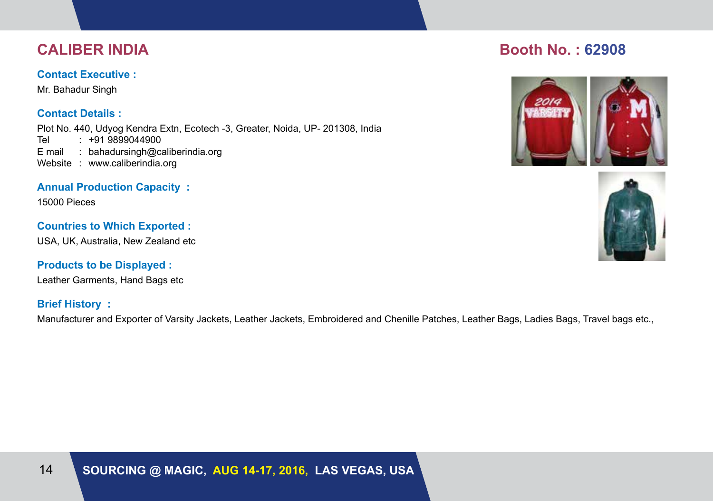## **Contact Executive :**

Mr. Bahadur Singh

# **Contact Details :**

Plot No. 440, Udyog Kendra Extn, Ecotech -3, Greater, Noida, UP- 201308, India Tel : +91 9899044900 E mail : bahadursingh@caliberindia.org Website : www.caliberindia.org

# **Annual Production Capacity :**

15000 Pieces

# **Countries to Which Exported :**

USA, UK, Australia, New Zealand etc

# **Products to be Displayed :**

Leather Garments, Hand Bags etc

# **Brief History :**

Manufacturer and Exporter of Varsity Jackets, Leather Jackets, Embroidered and Chenille Patches, Leather Bags, Ladies Bags, Travel bags etc.,

# **Caliber India Booth No. : 62908**



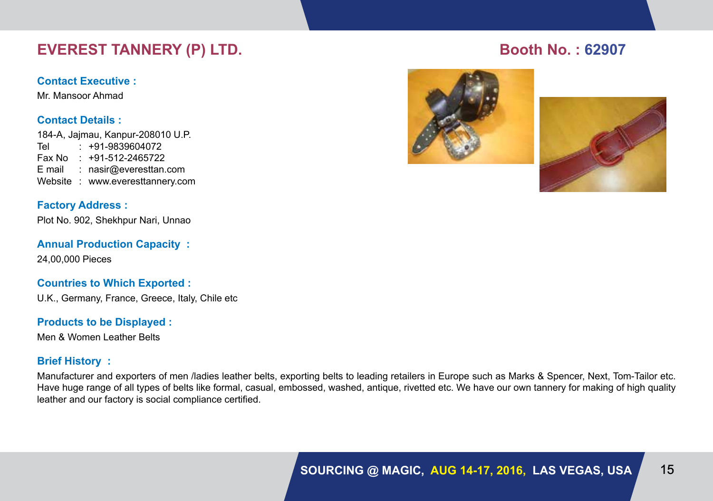# **EVEREST TANNERY (P) LTD.** Booth No. : 62907

#### **Contact Executive :**

Mr. Mansoor Ahmad

## **Contact Details :**

184-A, Jajmau, Kanpur-208010 U.P. Tel : +91-9839604072 Fax No : +91-512-2465722 E mail : nasir@everesttan.com Website : www.everesttannery.com

# **Factory Address :**

Plot No. 902, Shekhpur Nari, Unnao

**Annual Production Capacity :** 24,00,000 Pieces

## **Countries to Which Exported :**

U.K., Germany, France, Greece, Italy, Chile etc

## **Products to be Displayed :**

Men & Women Leather Belts

# **Brief History :**

Manufacturer and exporters of men /ladies leather belts, exporting belts to leading retailers in Europe such as Marks & Spencer, Next, Tom-Tailor etc. Have huge range of all types of belts like formal, casual, embossed, washed, antique, rivetted etc. We have our own tannery for making of high quality leather and our factory is social compliance certified.





# **Sourcing @ Magic, aug 14-17, 2016, LAS VEGAS, USA** 15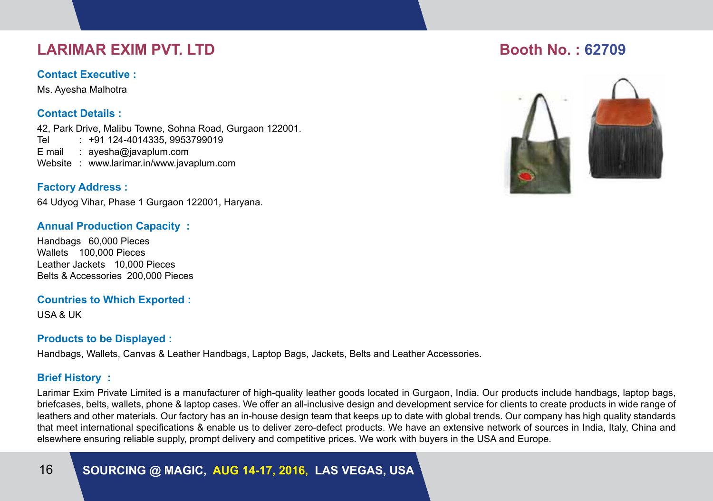# **LARIMAR EXIM PVT. LTD BOOTH AND LARIMAR EXIM PVT.** LTD BOOTH NO. : 62709

### **Contact Executive :**

Ms. Ayesha Malhotra

# **Contact Details :**

42, Park Drive, Malibu Towne, Sohna Road, Gurgaon 122001. Tel : +91 124-4014335, 9953799019 E mail : ayesha@javaplum.com Website : www.larimar.in/www.javaplum.com

# **Factory Address :**

64 Udyog Vihar, Phase 1 Gurgaon 122001, Haryana.

## **Annual Production Capacity :**

Handbags 60,000 Pieces Wallets 100,000 Pieces Leather Jackets 10,000 Pieces Belts & Accessories 200,000 Pieces

#### **Countries to Which Exported :**

USA & UK

## **Products to be Displayed :**

Handbags, Wallets, Canvas & Leather Handbags, Laptop Bags, Jackets, Belts and Leather Accessories.

## **Brief History :**

Larimar Exim Private Limited is a manufacturer of high-quality leather goods located in Gurgaon, India. Our products include handbags, laptop bags, briefcases, belts, wallets, phone & laptop cases. We offer an all-inclusive design and development service for clients to create products in wide range of leathers and other materials. Our factory has an in-house design team that keeps up to date with global trends. Our company has high quality standards that meet international specifications & enable us to deliver zero-defect products. We have an extensive network of sources in India, Italy, China and elsewhere ensuring reliable supply, prompt delivery and competitive prices. We work with buyers in the USA and Europe.

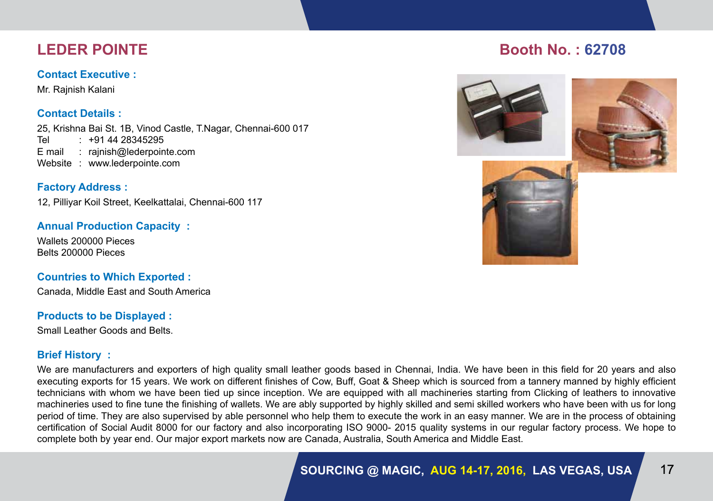# **Contact Executive :**

Mr. Rajnish Kalani

# **Contact Details :**

25, Krishna Bai St. 1B, Vinod Castle, T.Nagar, Chennai-600 017 Tel : +91 44 28345295 E mail : rajnish@lederpointe.com Website : www.lederpointe.com

**Factory Address :** 12, Pilliyar Koil Street, Keelkattalai, Chennai-600 117

# **Annual Production Capacity :**

Wallets 200000 Pieces Belts 200000 Pieces

# **Countries to Which Exported :**

Canada, Middle East and South America

## **Products to be Displayed :**

Small Leather Goods and Belts.

# **Brief History :**

We are manufacturers and exporters of high quality small leather goods based in Chennai, India. We have been in this field for 20 years and also executing exports for 15 years. We work on different finishes of Cow, Buff, Goat & Sheep which is sourced from a tannery manned by highly efficient technicians with whom we have been tied up since inception. We are equipped with all machineries starting from Clicking of leathers to innovative machineries used to fine tune the finishing of wallets. We are ably supported by highly skilled and semi skilled workers who have been with us for long period of time. They are also supervised by able personnel who help them to execute the work in an easy manner. We are in the process of obtaining certification of Social Audit 8000 for our factory and also incorporating ISO 9000- 2015 quality systems in our regular factory process. We hope to complete both by year end. Our major export markets now are Canada, Australia, South America and Middle East.

# **Leder Pointe Booth No. : 62708**

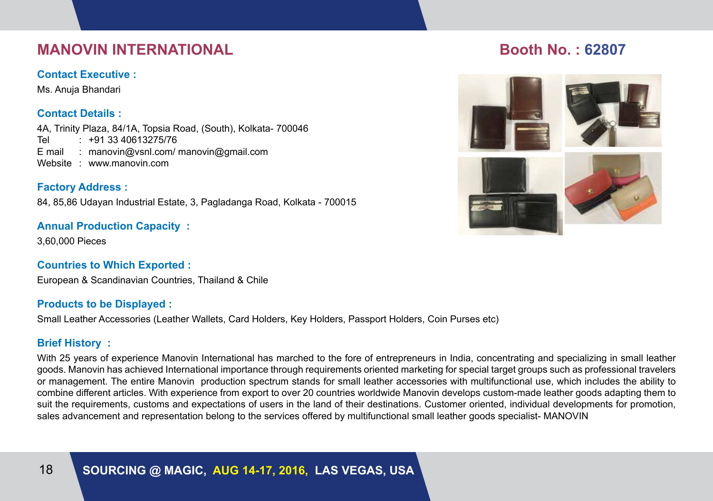# **MANOVIN INTERNATIONAL BOOTH INTERNATIONAL BOOTH INTERNATIONAL BOOTH INTERNATIONAL BOOTH INTERNATIONAL BOOTH IN**

## **Contact Executive :**

Ms. Anuja Bhandari

# **Contact Details :**

4A, Trinity Plaza, 84/1A, Topsia Road, (South), Kolkata- 700046 Tel : +91 33 40613275/76 E mail : manovin@vsnl.com/ manovin@gmail.com Website : www.manovin.com

# **Factory Address :**

84, 85,86 Udayan Industrial Estate, 3, Pagladanga Road, Kolkata - 700015

# **Annual Production Capacity :**

3,60,000 Pieces

# **Countries to Which Exported :**

European & Scandinavian Countries, Thailand & Chile

## **Products to be Displayed :**

Small Leather Accessories (Leather Wallets, Card Holders, Key Holders, Passport Holders, Coin Purses etc)

# **Brief History :**

With 25 years of experience Manovin International has marched to the fore of entrepreneurs in India, concentrating and specializing in small leather goods. Manovin has achieved International importance through requirements oriented marketing for special target groups such as professional travelers or management. The entire Manovin production spectrum stands for small leather accessories with multifunctional use, which includes the ability to combine different articles. With experience from export to over 20 countries worldwide Manovin develops custom-made leather goods adapting them to suit the requirements, customs and expectations of users in the land of their destinations. Customer oriented, individual developments for promotion, sales advancement and representation belong to the services offered by multifunctional small leather goods specialist- MANOVIN

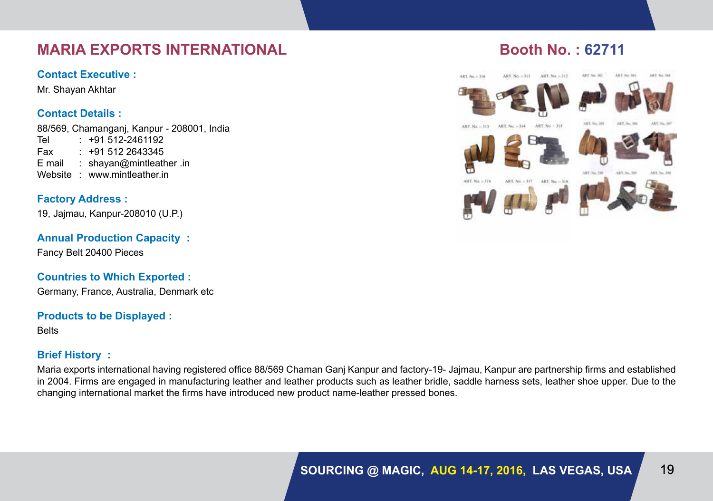# **MARIA EXPORTS INTERNATIONAL BOOTH NO. : 62711**

## **Contact Executive :**

Mr. Shayan Akhtar

# **Contact Details :**

88/569, Chamanganj, Kanpur - 208001, India Tel : +91 512-2461192 Fax : +91 512 2643345 E mail : shayan@mintleather .in Website : www.mintleather.in

# **Factory Address :**

19, Jajmau, Kanpur-208010 (U.P.)

# **Annual Production Capacity :**

Fancy Belt 20400 Pieces

# **Countries to Which Exported :**

Germany, France, Australia, Denmark etc

#### **Products to be Displayed :**

**Belts** 

# **Brief History :**

Maria exports international having registered office 88/569 Chaman Ganj Kanpur and factory-19- Jajmau, Kanpur are partnership firms and established in 2004. Firms are engaged in manufacturing leather and leather products such as leather bridle, saddle harness sets, leather shoe upper. Due to the changing international market the firms have introduced new product name-leather pressed bones.

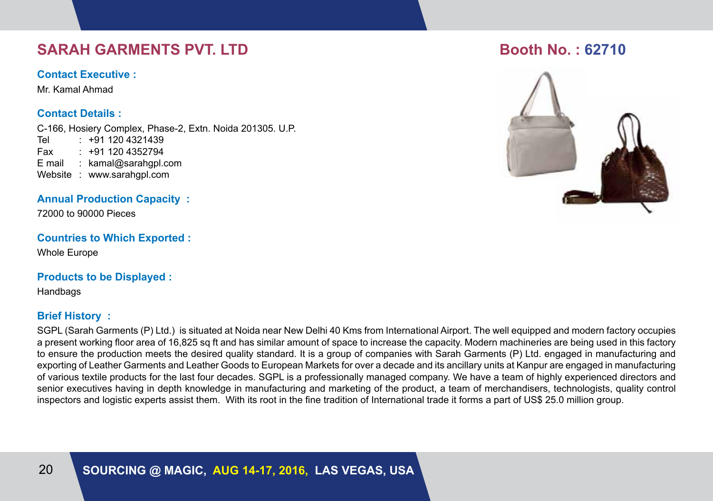# **SARAH GARMENTS PVT. LTD BOOTH BOOTH NO. : 62710**

### **Contact Executive :**

Mr. Kamal Ahmad

## **Contact Details :**

C-166, Hosiery Complex, Phase-2, Extn. Noida 201305. U.P. Tel : +91 120 4321439 Fax : +91 120 4352794 E mail : kamal@sarahgpl.com Website : www.sarahgpl.com

## **Annual Production Capacity :**

72000 to 90000 Pieces

## **Countries to Which Exported :**

Whole Europe

## **Products to be Displayed :**

Handbags

## **Brief History :**

SGPL (Sarah Garments (P) Ltd.) is situated at Noida near New Delhi 40 Kms from International Airport. The well equipped and modern factory occupies a present working floor area of 16,825 sq ft and has similar amount of space to increase the capacity. Modern machineries are being used in this factory to ensure the production meets the desired quality standard. It is a group of companies with Sarah Garments (P) Ltd. engaged in manufacturing and exporting of Leather Garments and Leather Goods to European Markets for over a decade and its ancillary units at Kanpur are engaged in manufacturing of various textile products for the last four decades. SGPL is a professionally managed company. We have a team of highly experienced directors and senior executives having in depth knowledge in manufacturing and marketing of the product, a team of merchandisers, technologists, quality control inspectors and logistic experts assist them. With its root in the fine tradition of International trade it forms a part of US\$ 25.0 million group.